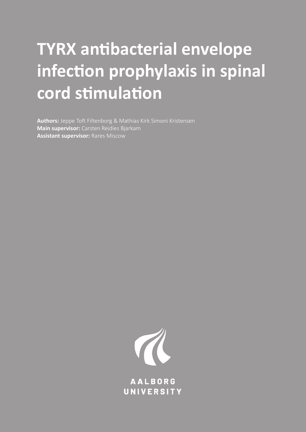# **TYRX antibacterial envelope infection prophylaxis in spinal cord stimulation**

**Authors:** Jeppe Toft Filtenborg & Mathias Kirk Simoni Kristensen **Main supervisor:** Carsten Reidies Bjarkam **Assistant supervisor:** Rares Miscow



**AALBORG** UNIVERSITY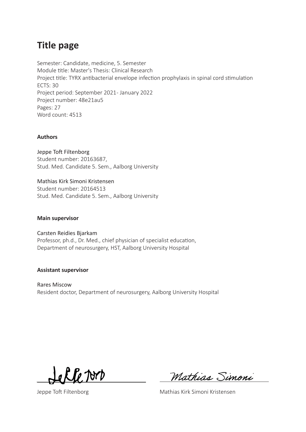# **Title page**

Semester: Candidate, medicine, 5. Semester Module title: Master's Thesis: Clinical Research Project title: TYRX antibacterial envelope infection prophylaxis in spinal cord stimulation ECTS: 30 Project period: September 2021 - January 2022 Project number: 48e21au5 Pages: 27 Word count: 4513

#### **Authors**

Jeppe Toft Filtenborg Student number: 20163687, Stud. Med. Candidate 5. Sem., Aalborg University

Mathias Kirk Simoni Kristensen Student number: 20164513 Stud. Med. Candidate 5. Sem., Aalborg University

#### **Main supervisor**

Carsten Reidies Bjarkam Professor, ph.d., Dr. Med., chief physician of specialist education, Department of neurosurgery, HST, Aalborg University Hospital

#### **Assistant supervisor**

Rares Miscow Resident doctor, Department of neurosurgery, Aalborg University Hospital

G JOMD

Mathias Simoni

Jeppe Toft Filtenborg **Mathias Kirk Simoni Kristensen**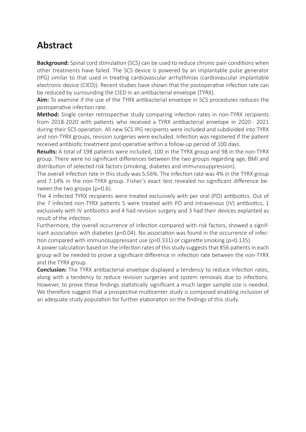# **Abstract**

**Background:** Spinal cord stimulation (SCS) can be used to reduce chronic pain conditions when other treatments have failed. The SCS device is powered by an implantable pulse generator (IPG) similar to that used in treating cardiovascular arrhythmias (cardiovascular implantable electronic device (CIED)). Recent studies have shown that the postoperative infection rate can be reduced by surrounding the CIED in an antibacterial envelope (TYRX).

**Aim:** To examine if the use of the TYRX antibacterial envelope in SCS procedures reduces the postoperative infection rate.

**Method:** Single center retrospective study comparing infection rates in non-TYRX recipients from 2018-2020 with patients who received a TYRX antibacterial envelope in 2020 - 2021 during their SCS operation. All new SCS IPG recipients were included and subdivided into TYRX and non-TYRX groups, revision surgeries were excluded. Infection was registered if the patient received antibiotic treatment post-operative within a follow-up period of 100 days.

**Results:** A total of 198 patients were included, 100 in the TYRX group and 98 in the non-TYRX group. There were no significant differences between the two groups regarding age, BMI and distribution of selected risk factors (smoking, diabetes and immunosuppression).

The overall infection rate in this study was 5.56%. The infection rate was 4% in the TYRX group and 7.14% in the non-TYRX group. Fisher's exact test revealed no significant difference between the two groups (p=0.6).

The 4 infected TYRX recipients were treated exclusively with per oral (PO) antibiotics. Out of the 7 infected non-TYRX patients 5 were treated with PO and intravenous (IV) antibiotics, 1 exclusively with IV antibiotics and 4 had revision surgery and 3 had their devices explanted as result of the infection.

Furthermore, the overall occurrence of infection compared with risk factors, showed a significant association with diabetes ( $p=0.04$ ). No association was found in the occurrence of infection compared with immunosuppressant use (p=0.331) or cigarette smoking (p=0.135).

A power calculation based on the infection rates of this study suggests that 856 patients in each group will be needed to prove a significant difference in infection rate between the non-TYRX and the TYRX group.

**Conclusion:** The TYRX antibacterial envelope displayed a tendency to reduce infection rates, along with a tendency to reduce revision surgeries and system removals due to infections. However, to prove these findings statistically significant a much larger sample size is needed. We therefore suggest that a prospective multicenter study is composed enabling inclusion of an adequate study population for further elaboration on the findings of this study.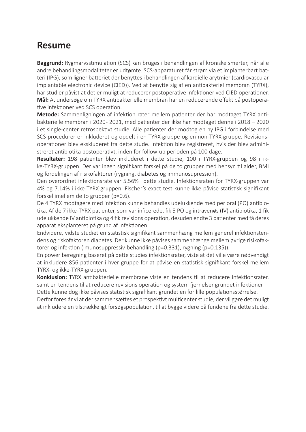# **Resume**

**Baggrund:** Rygmarvsstimulation (SCS) kan bruges i behandlingen af kroniske smerter, når alle andre behandlingsmodaliteter er udtømte. SCS-apparaturet får strøm via et implanterbart batteri (IPG), som ligner batteriet der benyttes i behandlingen af kardielle arytmier (cardiovascular implantable electronic device (CIED)). Ved at benytte sig af en antibakteriel membran (TYRX), har studier påvist at det er muligt at reducerer postoperative infektioner ved CIED operationer. **Mål:** At undersøge om TYRX antibakterielle membran har en reducerende effekt på postoperative infektioner ved SCS operation.

**Metode:** Sammenligningen af infektion rater mellem patienter der har modtaget TYRX antibakterielle membran i 2020 - 2021, med patienter der ikke har modtaget denne i 2018 – 2020 i et single-center retrospektivt studie. Alle patienter der modtog en ny IPG i forbindelse med SCS-procedurer er inkluderet og opdelt i en TYRX-gruppe og en non-TYRX-gruppe. Revisionsoperationer blev ekskluderet fra dette stude. Infektion blev registreret, hvis der blev administreret antibiotika postoperativt, inden for follow-up perioden på 100 dage.

**Resultater:** 198 patienter blev inkluderet i dette studie, 100 i TYRX-gruppen og 98 i ikke-TYRX-gruppen. Der var ingen signifikant forskel på de to grupper med hensyn til alder, BMI og fordelingen af risikofaktorer (rygning, diabetes og immunosupression).

Den overordnet infektionsrate var 5.56% i dette studie. Infektionsraten for TYRX-gruppen var 4% og 7.14% i ikke-TYRX-gruppen. Fischer's exact test kunne ikke påvise statistisk signifikant forskel imellem de to grupper (p=0.6).

De 4 TYRX modtagere med infektion kunne behandles udelukkende med per oral (PO) antibiotika. Af de 7 ikke-TYRX patienter, som var inficerede, fik 5 PO og intravenøs (IV) antibiotika, 1 fik udelukkende IV antibiotika og 4 fik revisions operation, desuden endte 3 patienter med få deres apparat eksplanteret på grund af infektionen.

Endvidere, vidste studiet en statistisk signifikant sammenhæng mellem generel infektionstendens og riskofaktoren diabetes. Der kunne ikke påvises sammenhænge mellem øvrige risikofaktorer og infektion (imunosuppressiv-behandling (p=0.331), rygning (p=0.135)).

En power beregning baseret på dette studies infektionsrater, viste at det ville være nødvendigt at inkludere 856 patienter i hver gruppe for at påvise en statistisk signifikant forskel mellem TYRX- og ikke-TYRX-gruppen.

**Konklusion:** TYRX antibakterielle membrane viste en tendens til at reducere infektionsrater, samt en tendens til at reducere revisions operation og system fjernelser grundet infektioner.

Dette kunne dog ikke påvises statistisk signifikant grundet en for lille populationsstørrelse. Derfor foreslår vi at der sammensættes et prospektivt multicenter studie, der vil gøre det muligt at inkludere en tilstrækkeligt forsøgspopulation, til at bygge videre på fundene fra dette studie.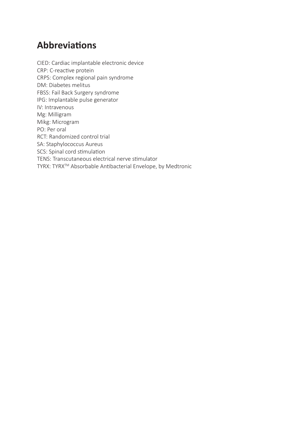# **Abbreviations**

CIED: Cardiac implantable electronic device CRP: C-reactive protein CRPS: Complex regional pain syndrome DM: Diabetes melitus FBSS: Fail Back Surgery syndrome IPG: Implantable pulse generator IV: Intravenous Mg: Milligram Mikg: Microgram PO: Per oral RCT: Randomized control trial SA: Staphylococcus Aureus SCS: Spinal cord stimulation TENS: Transcutaneous electrical nerve stimulator TYRX: TYRXTM Absorbable Antibacterial Envelope, by Medtronic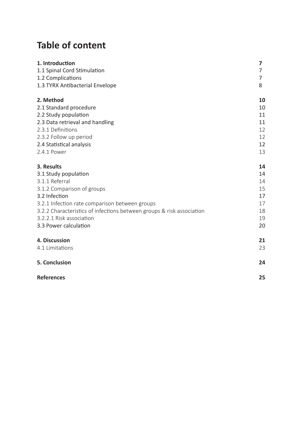# **Table of content**

| 1. Introduction                                                       | $\overline{\mathbf{z}}$ |
|-----------------------------------------------------------------------|-------------------------|
| 1.1 Spinal Cord Stimulation                                           | 7                       |
| 1.2 Complications                                                     | 7                       |
| 1.3 TYRX Antibacterial Envelope                                       | 8                       |
| 2. Method                                                             | 10                      |
| 2.1 Standard procedure                                                | 10                      |
| 2.2 Study population                                                  | 11                      |
| 2.3 Data retrieval and handling                                       | 11                      |
| 2.3.1 Definitions                                                     | 12                      |
| 2.3.2 Follow up period                                                | 12                      |
| 2.4 Statistical analysis                                              | 12                      |
| 2.4.1 Power                                                           | 13                      |
| 3. Results                                                            | 14                      |
| 3.1 Study population                                                  | 14                      |
| 3.1.1 Referral                                                        | 14                      |
| 3.1.2 Comparison of groups                                            | 15                      |
| 3.2 Infection                                                         | 17                      |
| 3.2.1 Infection rate comparison between groups                        | 17                      |
| 3.2.2 Characteristics of infections between groups & risk association | 18                      |
| 3.2.2.1 Risk association                                              | 19                      |
| 3.3 Power calculation                                                 | 20                      |
| 4. Discussion                                                         | 21                      |
| 4.1 Limitations                                                       | 23                      |
| <b>5. Conclusion</b>                                                  | 24                      |
| <b>References</b>                                                     | 25                      |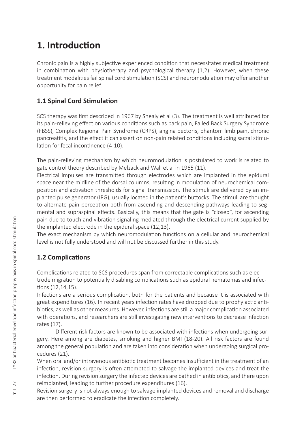# **1. Introduction**

Chronic pain is a highly subjective experienced condition that necessitates medical treatment in combination with physiotherapy and psychological therapy (1,2). However, when these treatment modalities fail spinal cord stimulation (SCS) and neuromodulation may offer another opportunity for pain relief.

### **1.1 Spinal Cord Stimulation**

SCS therapy was first described in 1967 by Shealy et al (3). The treatment is well attributed for its pain-relieving effect on various conditions such as back pain, Failed Back Surgery Syndrome (FBSS), Complex Regional Pain Syndrome (CRPS), angina pectoris, phantom limb pain, chronic pancreatitis, and the effect it can assert on non-pain related conditions including sacral stimulation for fecal incontinence (4-10).

The pain-relieving mechanism by which neuromodulation is postulated to work is related to gate control theory described by Melzack and Wall et al in 1965 (11).

Electrical impulses are transmitted through electrodes which are implanted in the epidural space near the midline of the dorsal columns, resulting in modulation of neurochemical composition and activation thresholds for signal transmission. The stimuli are delivered by an implanted pulse generator (IPG), usually located in the patient's buttocks. The stimuli are thought to alternate pain perception both from ascending and descending pathways leading to segmental and supraspinal effects. Basically, this means that the gate is "closed", for ascending pain due to touch and vibration signaling mediated through the electrical current supplied by the implanted electrode in the epidural space (12,13).

The exact mechanism by which neuromodulation functions on a cellular and neurochemical level is not fully understood and will not be discussed further in this study.

### **1.2 Complications**

Complications related to SCS procedures span from correctable complications such as electrode migration to potentially disabling complications such as epidural hematomas and infections (12,14,15).

Infections are a serious complication, both for the patients and because it is associated with great expenditures (16). In recent years infection rates have dropped due to prophylactic antibiotics, as well as other measures. However, infections are still a major complication associated with operations, and researchers are still investigating new interventions to decrease infection rates (17).

Different risk factors are known to be associated with infections when undergoing surgery. Here among are diabetes, smoking and higher BMI (18-20). All risk factors are found among the general population and are taken into consideration when undergoing surgical procedures (21).

When oral and/or intravenous antibiotic treatment becomes insufficient in the treatment of an infection, revision surgery is often attempted to salvage the implanted devices and treat the infection. During revision surgery the infected devices are bathed in antibiotics, and there upon reimplanted, leading to further procedure expenditures (16).

Revision surgery is not always enough to salvage implanted devices and removal and discharge are then performed to eradicate the infection completely.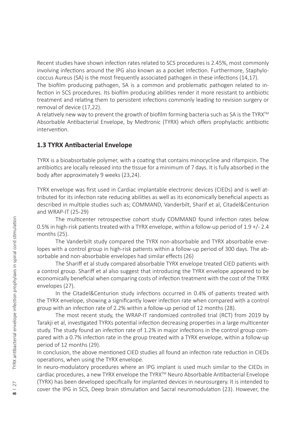Recent studies have shown infection rates related to SCS procedures is 2.45%, most commonly involving infections around the IPG also known as a pocket infection. Furthermore, Staphylococcus Aureus (SA) is the most frequently associated pathogen in these infections (14,17).

The biofilm producing pathogen, SA is a common and problematic pathogen related to infection in SCS procedures. Its biofilm producing abilities render it more resistant to antibiotic treatment and relating them to persistent infections commonly leading to revision surgery or removal of device (17,22).

A relatively new way to prevent the growth of biofilm forming bacteria such as SA is the TYRX<sup>™</sup> Absorbable Antibacterial Envelope, by Medtronic (TYRX) which offers prophylactic antibiotic intervention.

#### **1.3 TYRX Antibacterial Envelope**

TYRX is a bioabsorbable polymer, with a coating that contains minocycline and rifampicin. The antibiotics are locally released into the tissue for a minimum of 7 days. It is fully absorbed in the body after approximately 9 weeks (23,24).

TYRX envelope was first used in Cardiac implantable electronic devices (CIEDs) and is well attributed for its infection rate reducing abilities as well as its economically beneficial aspects as described in multiple studies such as; COMMAND, Vanderbilt, Sharif et al, Citadel&Centurion and WRAP-IT (25-29)

The multicenter retrospective cohort study COMMAND found infection rates below 0.5% in high-risk patients treated with a TYRX envelope, within a follow-up period of 1.9 +/- 2.4 months (25).

The Vanderbilt study compared the TYRX non-absorbable and TYRX absorbable envelopes with a control group in high-risk patients within a follow-up period of 300 days. The absorbable and non-absorbable envelopes had similar effects (26)

The Shariff et al study compared absorbable TYRX envelope treated CIED patients with a control group. Shariff et al also suggest that introducing the TYRX envelope appeared to be economically beneficial when comparing costs of infection treatment with the cost of the TYRX envelopes (27).

In the Citadel&Centurion study infections occurred in 0.4% of patients treated with the TYRX envelope, showing a significantly lower infection rate when compared with a control group with an infection rate of 2.2% within a follow-up period of 12 months (28).

The most recent study, the WRAP-IT randomized controlled trial (RCT) from 2019 by Tarakji et al, investigated TYRXs potential infection decreasing properties in a large multicenter study. The study found an infection rate of 1.2% in major infections in the control group compared with a 0.7% infection rate in the group treated with a TYRX envelope, within a follow-up period of 12 months (29). The multicenter retrospective cohort study COMMAND found infection rates below<br>
In Bightrisk patients treated with a TYRX envelope, within a follow-up period of 1.9+/-2.4<br>
The Vanderbilt study compared the TYRX mon-absorba

In conclusion, the above mentioned CIED studies all found an infection rate reduction in CIEDs operations, when using the TYRX envelope.

In neuro-modulatory procedures where an IPG implant is used much similar to the CIEDs in cardiac procedures, a new TYRX envelope the TYRX™ Neuro Absorbable Antibacterial Envelope (TYRX) has been developed specifically for implanted devices in neurosurgery. It is intended to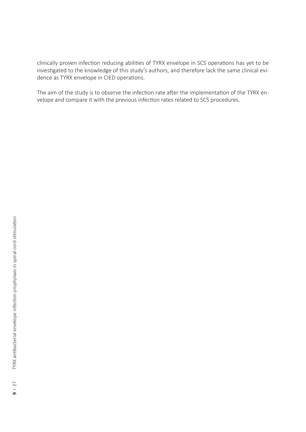clinically proven infection reducing abilities of TYRX envelope in SCS operations has yet to be investigated to the knowledge of this study's authors, and therefore lack the same clinical evidence as TYRX envelope in CIED operations.

The aim of the study is to observe the infection rate after the implementation of the TYRX envelope and compare it with the previous infection rates related to SCS procedures.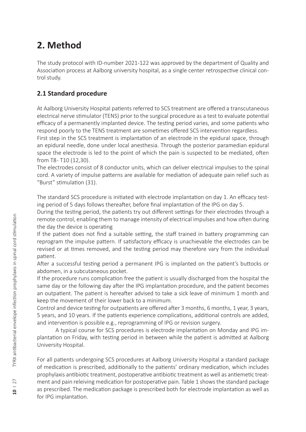# **2. Method**

The study protocol with ID-number 2021-122 was approved by the department of Quality and Association process at Aalborg university hospital, as a single center retrospective clinical control study.

### **2.1 Standard procedure**

At Aalborg University Hospital patients referred to SCS treatment are offered a transcutaneous electrical nerve stimulator (TENS) prior to the surgical procedure as a test to evaluate potential efficacy of a permanently implanted device. The testing period varies, and some patients who respond poorly to the TENS treatment are sometimes offered SCS intervention regardless.

First step in the SCS treatment is implantation of an electrode in the epidural space, through an epidural needle, done under local anesthesia. Through the posterior paramedian epidural space the electrode is led to the point of which the pain is suspected to be mediated, often from T8 - T10 (12,30).

The electrodes consist of 8 conductor units, which can deliver electrical impulses to the spinal cord. A variety of impulse patterns are available for mediation of adequate pain relief such as "Burst" stimulation (31).

The standard SCS procedure is initiated with electrode implantation on day 1. An efficacy testing period of 5 days follows thereafter, before final implantation of the IPG on day 5.

During the testing period, the patients try out different settings for their electrodes through a remote control, enabling them to manage intensity of electrical impulses and how often during the day the device is operating

If the patient does not find a suitable setting, the staff trained in battery programming can reprogram the impulse pattern. If satisfactory efficacy is unachievable the electrodes can be revised or at times removed, and the testing period may therefore vary from the individual patient.

After a successful testing period a permanent IPG is implanted on the patient's buttocks or abdomen, in a subcutaneous pocket.

If the procedure runs complication free the patient is usually discharged from the hospital the same day or the following day after the IPG implantation procedure, and the patient becomes an outpatient. The patient is hereafter advised to take a sick leave of minimum 1 month and keep the movement of their lower back to a minimum.

Control and device testing for outpatients are offered after 3 months, 6 months, 1 year, 3 years, 5 years, and 10 years. If the patients experience complications, additional controls are added, and intervention is possible e.g., reprogramming of IPG or revision surgery.

A typical course for SCS procedures is electrode implantation on Monday and IPG implantation on Friday, with testing period in between while the patient is admitted at Aalborg University Hospital.

For all patients undergoing SCS procedures at Aalborg University Hospital a standard package of medication is prescribed, additionally to the patients' ordinary medication, which includes prophylaxis antibiotic treatment, postoperative antibiotic treatment as well as antiemetic treatment and pain releiving medication for postoperative pain. Table 1 shows the standard package as prescribed. The medication package is prescribed both for electrode implantation as well as for IPG implantation.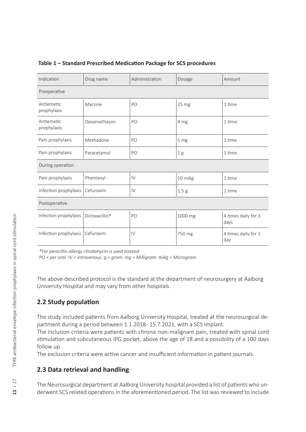| Indication                | Drug name      | Administration | Dosage           | Amount                      |  |
|---------------------------|----------------|----------------|------------------|-----------------------------|--|
| Preoperative              |                |                |                  |                             |  |
| Antiemetic<br>prophylaxis | Marzine        | PO             | 25 <sub>mg</sub> | 1 time                      |  |
| Antiemetic<br>prophylaxis | Dexamethason   | PO             | 4 mg             | 1 time                      |  |
| Pain prophylaxis          | Methadone      | PO             | 5 mg             | 1 time                      |  |
| Pain prophylaxis          | Paracetamol    | PO             | 1 <sub>g</sub>   | 1 time                      |  |
| During operation          |                |                |                  |                             |  |
| Pain prophylaxis          | Phentanyl      | IV             | 50 mikg          | 1 time                      |  |
| Infection prophylaxis     | Cefuroxim      | $\mathsf{IV}$  | 1,5g             | 1 time                      |  |
| Postoperative             |                |                |                  |                             |  |
| Infection prophylaxis     | Dicloxacillin* | PO             | 1000 mg          | 4 times daily for 3<br>days |  |
| Infection prophylaxis     | Cefuroxim      | IV             | 750 mg           | 4 times daily for 1<br>day  |  |

#### **Table 1 – Standard Prescribed Medication Package for SCS procedures**

*\*For penicillin allergy clindamycin is used instead* 

*PO = per oral. IV = intravenous. g = gram. mg = Milligram. mikg = Microgram.* 

The above-described protocol is the standard at the department of neurosurgery at Aalborg University Hospital and may vary from other hospitals.

#### **2.2 Study population**

The study included patients from Aalborg University Hospital, treated at the neurosurgical department during a period between 1.1.2018-15.7.2021, with a SCS implant.

The inclusion criteria were patients with chronic non-malignant pain, treated with spinal cord stimulation and subcutaneous IPG pocket, above the age of 18 and a possibility of a 100 days follow up.

The exclusion criteria were active cancer and insufficient information in patient journals.

#### **2.3 Data retrieval and handling**

The Neurosurgical department at Aalborg University hospital provided a list of patients who underwent SCS related operations in the aforementioned period. The list was reviewed to include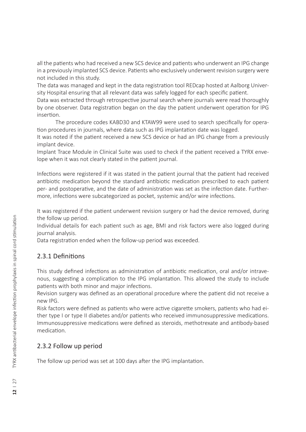all the patients who had received a new SCS device and patients who underwent an IPG change in a previously implanted SCS device. Patients who exclusively underwent revision surgery were not included in this study.

The data was managed and kept in the data registration tool REDcap hosted at Aalborg University Hospital ensuring that all relevant data was safely logged for each specific patient.

Data was extracted through retrospective journal search where journals were read thoroughly by one observer. Data registration began on the day the patient underwent operation for IPG insertion.

The procedure codes KABD30 and KTAW99 were used to search specifically for operation procedures in journals, where data such as IPG implantation date was logged.

It was noted if the patient received a new SCS device or had an IPG change from a previously implant device.

Implant Trace Module in Clinical Suite was used to check if the patient received a TYRX envelope when it was not clearly stated in the patient journal.

Infections were registered if it was stated in the patient journal that the patient had received antibiotic medication beyond the standard antibiotic medication prescribed to each patient per- and postoperative, and the date of administration was set as the infection date. Furthermore, infections were subcategorized as pocket, systemic and/or wire infections.

It was registered if the patient underwent revision surgery or had the device removed, during the follow up period.

Individual details for each patient such as age, BMI and risk factors were also logged during journal analysis.

Data registration ended when the follow-up period was exceeded.

### 2.3.1 Definitions

This study defined infections as administration of antibiotic medication, oral and/or intravenous, suggesting a complication to the IPG implantation. This allowed the study to include patients with both minor and major infections.

Revision surgery was defined as an operational procedure where the patient did not receive a new IPG.

Risk factors were defined as patients who were active cigarette smokers, patients who had either type I or type II diabetes and/or patients who received immunosuppressive medications. Immunosuppressive medications were defined as steroids, methotrexate and antibody-based medication.

### 2.3.2 Follow up period

The follow up period was set at 100 days after the IPG implantation.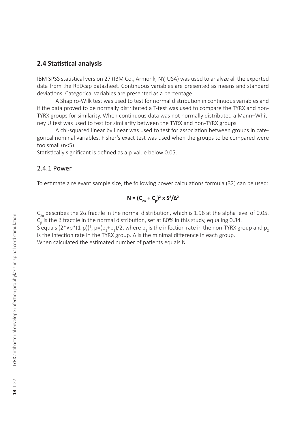#### **2.4 Statistical analysis**

IBM SPSS statistical version 27 (IBM Co., Armonk, NY, USA) was used to analyze all the exported data from the REDcap datasheet. Continuous variables are presented as means and standard deviations. Categorical variables are presented as a percentage.

A Shapiro-Wilk test was used to test for normal distribution in continuous variables and if the data proved to be normally distributed a T-test was used to compare the TYRX and non-TYRX groups for similarity. When continuous data was not normally distributed a Mann–Whitney U test was used to test for similarity between the TYRX and non-TYRX groups.

A chi-squared linear by linear was used to test for association between groups in categorical nominal variables. Fisher's exact test was used when the groups to be compared were too small  $(n<5)$ .

Statistically significant is defined as a p-value below 0.05.

#### 2.4.1 Power

To estimate a relevant sample size, the following power calculations formula (32) can be used:

### **N** =  $(C_{2\alpha} + C_{\beta})^2$ **x**  $S^2/\Delta^2$

 $C_{2\alpha}$  describes the 2α fractile in the normal distribution, which is 1.96 at the alpha level of 0.05.  $C_{\beta}$  is the β fractile in the normal distribution, set at 80% in this study, equaling 0.84.

S equals (2\*Vp\*(1-p))<sup>2</sup>, p=(p<sub>1</sub>+p<sub>2</sub>)/2, where p<sub>1</sub> is the infection rate in the non-TYRX group and p<sub>2</sub> is the infection rate in the TYRX group. Δ is the minimal difference in each group.

When calculated the estimated number of patients equals N.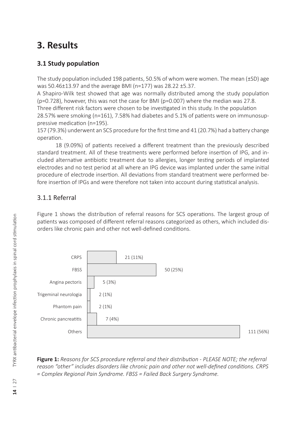# **3. Results**

### **3.1 Study population**

The study population included 198 patients, 50.5% of whom were women. The mean (±SD) age was 50.46±13.97 and the average BMI (n=177) was 28.22 ±5.37.

A Shapiro-Wilk test showed that age was normally distributed among the study population (p=0.728), however, this was not the case for BMI (p=0.007) where the median was 27.8. Three different risk factors were chosen to be investigated in this study. In the population 28.57% were smoking (n=161), 7.58% had diabetes and 5.1% of patients were on immunosup-

pressive medication (n=195).

157 (79.3%) underwent an SCS procedure for the first time and 41 (20.7%) had a battery change operation.

18 (9.09%) of patients received a different treatment than the previously described standard treatment. All of these treatments were performed before insertion of IPG, and included alternative antibiotic treatment due to allergies, longer testing periods of implanted electrodes and no test period at all where an IPG device was implanted under the same initial procedure of electrode insertion. All deviations from standard treatment were performed before insertion of IPGs and were therefore not taken into account during statistical analysis.

### 3.1.1 Referral

Figure 1 shows the distribution of referral reasons for SCS operations. The largest group of patients was composed of different referral reasons categorized as others, which included disorders like chronic pain and other not well-defined conditions.



**Figure 1:** *Reasons for SCS procedure referral and their distribution - PLEASE NOTE; the referral reason "other" includes disorders like chronic pain and other not well-defined conditions. CRPS = Complex Regional Pain Syndrome. FBSS = Failed Back Surgery Syndrome.*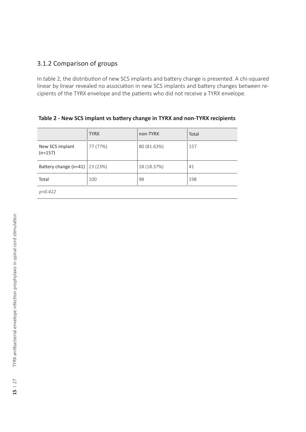### 3.1.2 Comparison of groups

In table 2, the distribution of new SCS implants and battery change is presented. A chi-squared linear by linear revealed no association in new SCS implants and battery changes between recipients of the TYRX envelope and the patients who did not receive a TYRX envelope.

|                              | <b>TYRX</b> | non-TYRX    | Total |
|------------------------------|-------------|-------------|-------|
| New SCS implant<br>$(n=157)$ | 77 (77%)    | 80 (81.63%) | 157   |
| Battery change (n=41)        | 23 (23%)    | 18 (18.37%) | 41    |
| Total                        | 100         | 98          | 198   |
| $p = 0.422$                  |             |             |       |

| Table 2 - New SCS implant vs battery change in TYRX and non-TYRX recipients |
|-----------------------------------------------------------------------------|
|-----------------------------------------------------------------------------|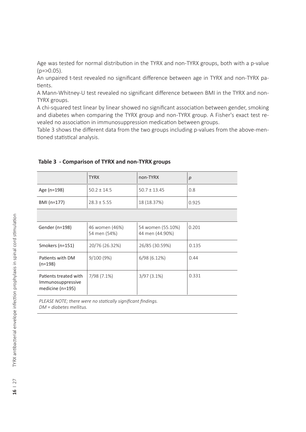Age was tested for normal distribution in the TYRX and non-TYRX groups, both with a p-value  $(p = > 0.05)$ .

An unpaired t-test revealed no significant difference between age in TYRX and non-TYRX patients.

A Mann-Whitney-U test revealed no significant difference between BMI in the TYRX and non-TYRX groups.

A chi-squared test linear by linear showed no significant association between gender, smoking and diabetes when comparing the TYRX group and non-TYRX group. A Fisher's exact test revealed no association in immunosuppression medication between groups.

Table 3 shows the different data from the two groups including p-values from the above-mentioned statistical analysis.

|             | <b>TYRX</b>     | non-TYRX         |       |
|-------------|-----------------|------------------|-------|
| Age (n=198) | $50.2 \pm 14.5$ | $50.7 \pm 13.45$ | 0.8   |
| BMI (n=177) | $28.3 \pm 5.55$ | 18(18.37%)       | 0.925 |

#### **Table 3 - Comparison of TYRX and non-TYRX groups**

| Gender (n=198)                                                     | 46 women (46%)<br>54 men (54%) | 54 women (55.10%)<br>44 men (44.90%) | 0.201 |
|--------------------------------------------------------------------|--------------------------------|--------------------------------------|-------|
| Smokers (n=151)                                                    | 20/76 (26.32%)                 | 26/85 (30.59%)                       | 0.135 |
| Patients with DM<br>$(n=198)$                                      | 9/100(9%)                      | 6/98(6.12%)                          | 0.44  |
| Patients treated with<br>Immunosuppressive<br>medicine ( $n=195$ ) | 7/98 (7.1%)                    | $3/97(3.1\%)$                        | 0.331 |

*PLEASE NOTE; there were no statically significant findings. DM = diabetes mellitus.*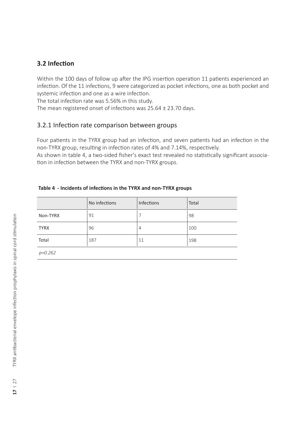### **3.2 Infection**

Within the 100 days of follow up after the IPG insertion operation 11 patients experienced an infection. Of the 11 infections, 9 were categorized as pocket infections, one as both pocket and systemic infection and one as a wire infection.

The total infection rate was 5.56% in this study.

The mean registered onset of infections was 25.64 ± 23.70 days.

#### 3.2.1 Infection rate comparison between groups

Four patients in the TYRX group had an infection, and seven patients had an infection in the non-TYRX group, resulting in infection rates of 4% and 7.14%, respectively.

As shown in table 4, a two-sided fisher's exact test revealed no statistically significant association in infection between the TYRX and non-TYRX groups.

|  |  |  |  | Table 4 - Incidents of infections in the TYRX and non-TYRX groups |  |
|--|--|--|--|-------------------------------------------------------------------|--|
|  |  |  |  |                                                                   |  |

|             | No infections | Infections | Total |
|-------------|---------------|------------|-------|
| Non-TYRX    | 91            |            | 98    |
| <b>TYRX</b> | 96            | 4          | 100   |
| Total       | 187           | 11         | 198   |
| p=0.262     |               |            |       |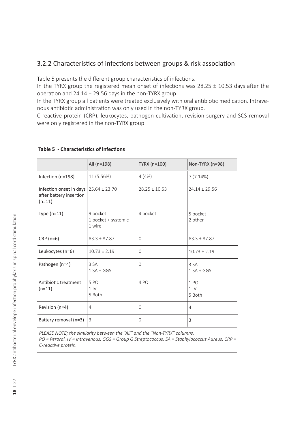### 3.2.2 Characteristics of infections between groups & risk association

Table 5 presents the different group characteristics of infections.

In the TYRX group the registered mean onset of infections was  $28.25 \pm 10.53$  days after the operation and 24.14 ± 29.56 days in the non-TYRX group.

In the TYRX group all patients were treated exclusively with oral antibiotic medication. Intravenous antibiotic administration was only used in the non-TYRX group.

C-reactive protein (CRP), leukocytes, pathogen cultivation, revision surgery and SCS removal were only registered in the non-TYRX group.

|                                                                | All (n=198)                                 | TYRX (n=100)      | Non-TYRX (n=98)                              |
|----------------------------------------------------------------|---------------------------------------------|-------------------|----------------------------------------------|
| Infection (n=198)                                              | 11 (5.56%)                                  | 4(4%)             | 7(7.14%)                                     |
| Infection onset in days<br>after battery insertion<br>$(n=11)$ | $25.64 \pm 23.70$                           | $28.25 \pm 10.53$ | $24.14 \pm 29.56$                            |
| Type $(n=11)$                                                  | 9 pocket<br>1 pocket + systemic<br>1 wire   | 4 pocket          | 5 pocket<br>2 other                          |
| $CRP(n=6)$                                                     | $83.3 + 87.87$                              | 0                 | $83.3 \pm 87.87$                             |
| Leukocytes (n=6)                                               | $10.73 \pm 2.19$                            | $\Omega$          | $10.73 \pm 2.19$                             |
| Pathogen (n=4)                                                 | 3.SA<br>$1 SA + GGS$                        | $\Omega$          | 3 SA<br>$1 SA + GGS$                         |
| Antibiotic treatment<br>$(n=11)$                               | 5P <sub>O</sub><br>1 <sup>N</sup><br>5 Both | 4PO               | 1 P <sub>O</sub><br>1 <sup>N</sup><br>5 Both |
| Revision (n=4)                                                 | 4                                           | 0                 | 4                                            |
| Battery removal (n=3)                                          | 3                                           | $\Omega$          | 3                                            |

#### **Table 5 - Characteristics of infections**

*PLEASE NOTE; the similarity between the "All" and the "Non-TYRX" columns. PO = Peroral. IV = intravenous. GGS = Group G Streptococcus. SA = Staphylococcus Aureus. CRP = C-reactive protein.*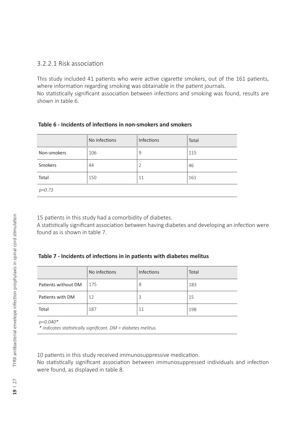### 3.2.2.1 Risk association

This study included 41 patients who were active cigarette smokers, out of the 161 patients, where information regarding smoking was obtainable in the patient journals. No statistically significant association between infections and smoking was found, results are shown in table 6.

#### **Table 6 - Incidents of infections in non-smokers and smokers**

|             | No infections | Infections     | Total |
|-------------|---------------|----------------|-------|
| Non-smokers | 106           | 9              | 115   |
| Smokers     | 44            | $\overline{2}$ | 46    |
| Total       | 150           | 11             | 161   |
| $p = 0.73$  |               |                |       |

15 patients in this study had a comorbidity of diabetes.

A statistically significant association between having diabetes and developing an infection were found as is shown in table 7.

#### **Table 7 - Incidents of infections in in patients with diabetes melitus**

|                     | No infections | Infections | Total |
|---------------------|---------------|------------|-------|
| Patients without DM | 175           | 8          | 183   |
| Patients with DM    | 12            | 3          | 15    |
| Total               | 187           | 11         | 198   |

*p=0.040\**

*\* indicates statistically significant. DM = diabetes melitus.* 

10 patients in this study received immunosuppressive medication.

No statistically significant association between immunosuppressed individuals and infection were found, as displayed in table 8.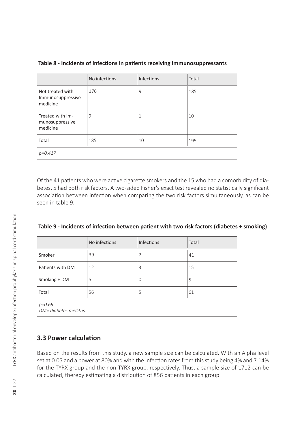|                                                   | No infections | <b>Infections</b> | Total |
|---------------------------------------------------|---------------|-------------------|-------|
| Not treated with<br>Immunosuppressive<br>medicine | 176           | 9                 | 185   |
| Treated with Im-<br>munosuppressive<br>medicine   | 9             | 1                 | 10    |
| Total                                             | 185           | 10                | 195   |
| $p = 0.417$                                       |               |                   |       |

#### **Table 8 - Incidents of infections in patients receiving immunosuppressants**

Of the 41 patients who were active cigarette smokers and the 15 who had a comorbidity of diabetes, 5 had both risk factors. A two-sided Fisher's exact test revealed no statistically significant association between infection when comparing the two risk factors simultaneously, as can be seen in table 9.

| Table 9 - Incidents of infection between patient with two risk factors (diabetes + smoking) |  |  |
|---------------------------------------------------------------------------------------------|--|--|
|---------------------------------------------------------------------------------------------|--|--|

|                                      | No infections | Infections     | Total |
|--------------------------------------|---------------|----------------|-------|
| Smoker                               | 39            | $\overline{2}$ | 41    |
| Patients with DM                     | 12            | 3              | 15    |
| Smoking + DM                         | 5             | 0              | 5     |
| Total                                | 56            | 5              | 61    |
| $p = 0.69$<br>DM= diabetes mellitus. |               |                |       |

#### **3.3 Power calculation**

Based on the results from this study, a new sample size can be calculated. With an Alpha level set at 0.05 and a power at 80% and with the infection rates from this study being 4% and 7.14% for the TYRX group and the non-TYRX group, respectively. Thus, a sample size of 1712 can be calculated, thereby estimating a distribution of 856 patients in each group.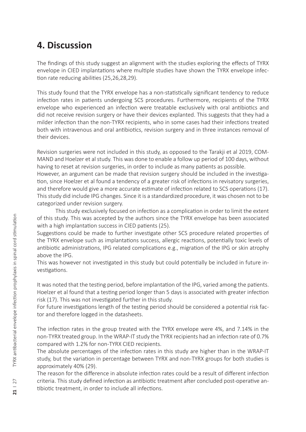# **4. Discussion**

The findings of this study suggest an alignment with the studies exploring the effects of TYRX envelope in CIED implantations where multiple studies have shown the TYRX envelope infection rate reducing abilities (25,26,28,29).

This study found that the TYRX envelope has a non-statistically significant tendency to reduce infection rates in patients undergoing SCS procedures. Furthermore, recipients of the TYRX envelope who experienced an infection were treatable exclusively with oral antibiotics and did not receive revision surgery or have their devices explanted. This suggests that they had a milder infection than the non-TYRX recipients, who in some cases had their infections treated both with intravenous and oral antibiotics, revision surgery and in three instances removal of their devices.

Revision surgeries were not included in this study, as opposed to the Tarakji et al 2019, COM-MAND and Hoelzer et al study. This was done to enable a follow up period of 100 days, without having to reset at revision surgeries, in order to include as many patients as possible.

However, an argument can be made that revision surgery should be included in the investigation, since Hoelzer et al found a tendency of a greater risk of infections in revisatory surgeries, and therefore would give a more accurate estimate of infection related to SCS operations (17). This study did include IPG changes. Since it is a standardized procedure, it was chosen not to be categorized under revision surgery.

This study exclusively focused on infection as a complication in order to limit the extent of this study. This was accepted by the authors since the TYRX envelope has been associated with a high implantation success in CIED patients (25).

Suggestions could be made to further investigate other SCS procedure related properties of the TYRX envelope such as implantations success, allergic reactions, potentially toxic levels of antibiotic administrations, IPG related complications e.g., migration of the IPG or skin atrophy above the IPG.

This was however not investigated in this study but could potentially be included in future investigations.

It was noted that the testing period, before implantation of the IPG, varied among the patients. Hoelzer et al found that a testing period longer than 5 days is associated with greater infection risk (17). This was not investigated further in this study.

For future investigations length of the testing period should be considered a potential risk factor and therefore logged in the datasheets.

The infection rates in the group treated with the TYRX envelope were 4%, and 7.14% in the non-TYRX treated group. In the WRAP-IT study the TYRX recipients had an infection rate of 0.7% compared with 1.2% for non-TYRX CIED recipients.

The absolute percentages of the infection rates in this study are higher than in the WRAP-IT study, but the variation in percentage between TYRX and non-TYRX groups for both studies is approximately 40% (29).

The reason for the difference in absolute infection rates could be a result of different infection criteria. This study defined infection as antibiotic treatment after concluded post-operative antibiotic treatment, in order to include all infections.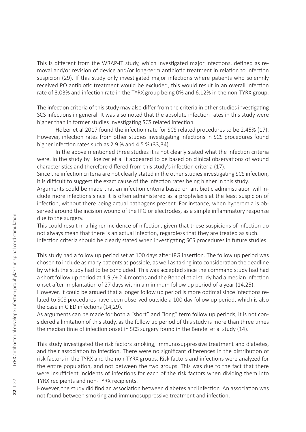This is different from the WRAP-IT study, which investigated major infections, defined as removal and/or revision of device and/or long-term antibiotic treatment in relation to infection suspicion (29). If this study only investigated major infections where patients who solemnly received PO antibiotic treatment would be excluded, this would result in an overall infection rate of 3.03% and infection rate in the TYRX group being 0% and 6.12% in the non-TYRX group.

The infection criteria of this study may also differ from the criteria in other studies investigating SCS infections in general. It was also noted that the absolute infection rates in this study were higher than in former studies investigating SCS related infection.

Holzer et al 2017 found the infection rate for SCS related procedures to be 2.45% (17). However, infection rates from other studies investigating infections in SCS procedures found higher infection rates such as 2.9 % and 4.5 % (33,34).

In the above mentioned three studies it is not clearly stated what the infection criteria were. In the study by Hoelzer et al it appeared to be based on clinical observations of wound characteristics and therefore differed from this study's infection criteria (17).

Since the infection criteria are not clearly stated in the other studies investigating SCS infection, it is difficult to suggest the exact cause of the infection rates being higher in this study.

Arguments could be made that an infection criteria based on antibiotic administration will include more infections since it is often administered as a prophylaxis at the least suspicion of infection, without there being actual pathogens present. For instance, when hyperemia is observed around the incision wound of the IPG or electrodes, as a simple inflammatory response due to the surgery.

This could result in a higher incidence of infection, given that these suspicions of infection do not always mean that there is an actual infection, regardless that they are treated as such. Infection criteria should be clearly stated when investigating SCS procedures in future studies.

This study had a follow up period set at 100 days after IPG insertion. The follow up period was chosen to include as many patients as possible, as well as taking into consideration the deadline by which the study had to be concluded. This was accepted since the command study had had a short follow up period at 1.9 -/+ 2.4 months and the Bendel et al study had a median infection onset after implantation of 27 days within a minimum follow up period of a year (14,25).

However, it could be argued that a longer follow up period is more optimal since infections related to SCS procedures have been observed outside a 100 day follow up period, which is also the case in CIED infections (14,29).

As arguments can be made for both a "short" and "long" term follow up periods, it is not considered a limitation of this study, as the follow up period of this study is more than three times the median time of infection onset in SCS surgery found in the Bendel et al study (14).

This study investigated the risk factors smoking, immunosuppressive treatment and diabetes, and their association to infection. There were no significant differences in the distribution of risk factors in the TYRX and the non-TYRX groups. Risk factors and infections were analyzed for the entire population, and not between the two groups. This was due to the fact that there were insufficient incidents of infections for each of the risk factors when dividing them into TYRX recipients and non-TYRX recipients.

However, the study did find an association between diabetes and infection. An association was not found between smoking and immunosuppressive treatment and infection.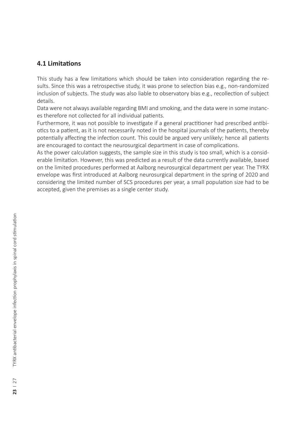### **4.1 Limitations**

This study has a few limitations which should be taken into consideration regarding the results. Since this was a retrospective study, it was prone to selection bias e.g., non-randomized inclusion of subjects. The study was also liable to observatory bias e.g., recollection of subject details.

Data were not always available regarding BMI and smoking, and the data were in some instances therefore not collected for all individual patients.

Furthermore, it was not possible to investigate if a general practitioner had prescribed antibiotics to a patient, as it is not necessarily noted in the hospital journals of the patients, thereby potentially affecting the infection count. This could be argued very unlikely; hence all patients are encouraged to contact the neurosurgical department in case of complications.

As the power calculation suggests, the sample size in this study is too small, which is a considerable limitation. However, this was predicted as a result of the data currently available, based on the limited procedures performed at Aalborg neurosurgical department per year. The TYRX envelope was first introduced at Aalborg neurosurgical department in the spring of 2020 and considering the limited number of SCS procedures per year, a small population size had to be accepted, given the premises as a single center study.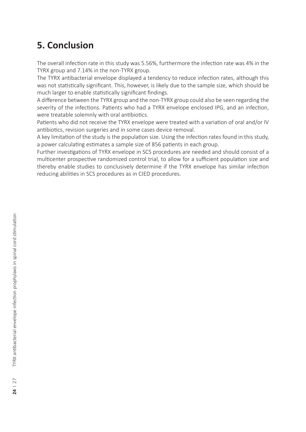# **5. Conclusion**

The overall infection rate in this study was 5.56%, furthermore the infection rate was 4% in the TYRX group and 7.14% in the non-TYRX group.

The TYRX antibacterial envelope displayed a tendency to reduce infection rates, although this was not statistically significant. This, however, is likely due to the sample size, which should be much larger to enable statistically significant findings.

A difference between the TYRX group and the non-TYRX group could also be seen regarding the severity of the infections. Patients who had a TYRX envelope enclosed IPG, and an infection, were treatable solemnly with oral antibiotics.

Patients who did not receive the TYRX envelope were treated with a variation of oral and/or IV antibiotics, revision surgeries and in some cases device removal.

A key limitation of the study is the population size. Using the infection rates found in this study, a power calculating estimates a sample size of 856 patients in each group.

Further investigations of TYRX envelope in SCS procedures are needed and should consist of a multicenter prospective randomized control trial, to allow for a sufficient population size and thereby enable studies to conclusively determine if the TYRX envelope has similar infection reducing abilities in SCS procedures as in CIED procedures.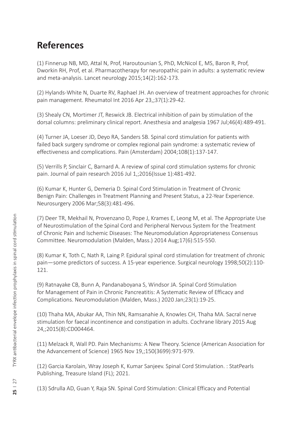# **References**

(1) Finnerup NB, MD, Attal N, Prof, Haroutounian S, PhD, McNicol E, MS, Baron R, Prof, Dworkin RH, Prof, et al. Pharmacotherapy for neuropathic pain in adults: a systematic review and meta-analysis. Lancet neurology 2015;14(2):162-173.

(2) Hylands-White N, Duarte RV, Raphael JH. An overview of treatment approaches for chronic pain management. Rheumatol Int 2016 Apr 23,;37(1):29-42.

(3) Shealy CN, Mortimer JT, Reswick JB. Electrical inhibition of pain by stimulation of the dorsal columns: preliminary clinical report. Anesthesia and analgesia 1967 Jul;46(4):489-491.

(4) Turner JA, Loeser JD, Deyo RA, Sanders SB. Spinal cord stimulation for patients with failed back surgery syndrome or complex regional pain syndrome: a systematic review of effectiveness and complications. Pain (Amsterdam) 2004;108(1):137-147.

(5) Verrills P, Sinclair C, Barnard A. A review of spinal cord stimulation systems for chronic pain. Journal of pain research 2016 Jul 1,;2016(Issue 1):481-492.

(6) Kumar K, Hunter G, Demeria D. Spinal Cord Stimulation in Treatment of Chronic Benign Pain: Challenges in Treatment Planning and Present Status, a 22-Year Experience. Neurosurgery 2006 Mar;58(3):481-496.

(7) Deer TR, Mekhail N, Provenzano D, Pope J, Krames E, Leong M, et al. The Appropriate Use of Neurostimulation of the Spinal Cord and Peripheral Nervous System for the Treatment of Chronic Pain and Ischemic Diseases: The Neuromodulation Appropriateness Consensus Committee. Neuromodulation (Malden, Mass.) 2014 Aug;17(6):515-550.

(8) Kumar K, Toth C, Nath R, Laing P. Epidural spinal cord stimulation for treatment of chronic pain—some predictors of success. A 15-year experience. Surgical neurology 1998;50(2):110- 121.

(9) Ratnayake CB, Bunn A, Pandanaboyana S, Windsor JA. Spinal Cord Stimulation for Management of Pain in Chronic Pancreatitis: A Systematic Review of Efficacy and Complications. Neuromodulation (Malden, Mass.) 2020 Jan;23(1):19-25.

(10) Thaha MA, Abukar AA, Thin NN, Ramsanahie A, Knowles CH, Thaha MA. Sacral nerve stimulation for faecal incontinence and constipation in adults. Cochrane library 2015 Aug 24,;2015(8):CD004464.

(11) Melzack R, Wall PD. Pain Mechanisms: A New Theory. Science (American Association for the Advancement of Science) 1965 Nov 19,;150(3699):971-979.

(12) Garcia Karolain, Wray Joseph K, Kumar Sanjeev. Spinal Cord Stimulation. : StatPearls Publishing, Treasure Island (FL); 2021.

(13) Sdrulla AD, Guan Y, Raja SN. Spinal Cord Stimulation: Clinical Efficacy and Potential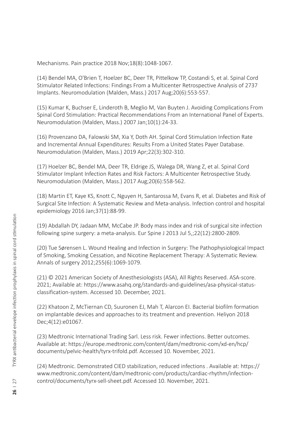Mechanisms. Pain practice 2018 Nov;18(8):1048-1067.

(14) Bendel MA, O'Brien T, Hoelzer BC, Deer TR, Pittelkow TP, Costandi S, et al. Spinal Cord Stimulator Related Infections: Findings From a Multicenter Retrospective Analysis of 2737 Implants. Neuromodulation (Malden, Mass.) 2017 Aug;20(6):553-557.

(15) Kumar K, Buchser E, Linderoth B, Meglio M, Van Buyten J. Avoiding Complications From Spinal Cord Stimulation: Practical Recommendations From an International Panel of Experts. Neuromodulation (Malden, Mass.) 2007 Jan;10(1):24-33.

(16) Provenzano DA, Falowski SM, Xia Y, Doth AH. Spinal Cord Stimulation Infection Rate and Incremental Annual Expenditures: Results From a United States Payer Database. Neuromodulation (Malden, Mass.) 2019 Apr;22(3):302-310.

(17) Hoelzer BC, Bendel MA, Deer TR, Eldrige JS, Walega DR, Wang Z, et al. Spinal Cord Stimulator Implant Infection Rates and Risk Factors: A Multicenter Retrospective Study. Neuromodulation (Malden, Mass.) 2017 Aug;20(6):558-562.

(18) Martin ET, Kaye KS, Knott C, Nguyen H, Santarossa M, Evans R, et al. Diabetes and Risk of Surgical Site Infection: A Systematic Review and Meta-analysis. Infection control and hospital epidemiology 2016 Jan;37(1):88-99.

(19) Abdallah DY, Jadaan MM, McCabe JP. Body mass index and risk of surgical site infection following spine surgery: a meta-analysis. Eur Spine J 2013 Jul 5,;22(12):2800-2809.

(20) Tue Sørensen L. Wound Healing and Infection in Surgery: The Pathophysiological Impact of Smoking, Smoking Cessation, and Nicotine Replacement Therapy: A Systematic Review. Annals of surgery 2012;255(6):1069-1079.

(21) © 2021 American Society of Anesthesiologists (ASA), All Rights Reserved. ASA-score. 2021; Available at: https://www.asahq.org/standards-and-guidelines/asa-physical-statusclassification-system. Accessed 10. December, 2021.

(22) Khatoon Z, McTiernan CD, Suuronen EJ, Mah T, Alarcon EI. Bacterial biofilm formation on implantable devices and approaches to its treatment and prevention. Heliyon 2018 Dec;4(12):e01067.

(23) Medtronic International Trading Sarl. Less risk. Fewer infections. Better outcomes. Available at: https://europe.medtronic.com/content/dam/medtronic-com/xd-en/hcp/ documents/pelvic-health/tyrx-trifold.pdf. Accessed 10. November, 2021.

(24) Medtronic. Demonstrated CIED stabilization, reduced infections . Available at: https:// www.medtronic.com/content/dam/medtronic-com/products/cardiac-rhythm/infectioncontrol/documents/tyrx-sell-sheet.pdf. Accessed 10. November, 2021.